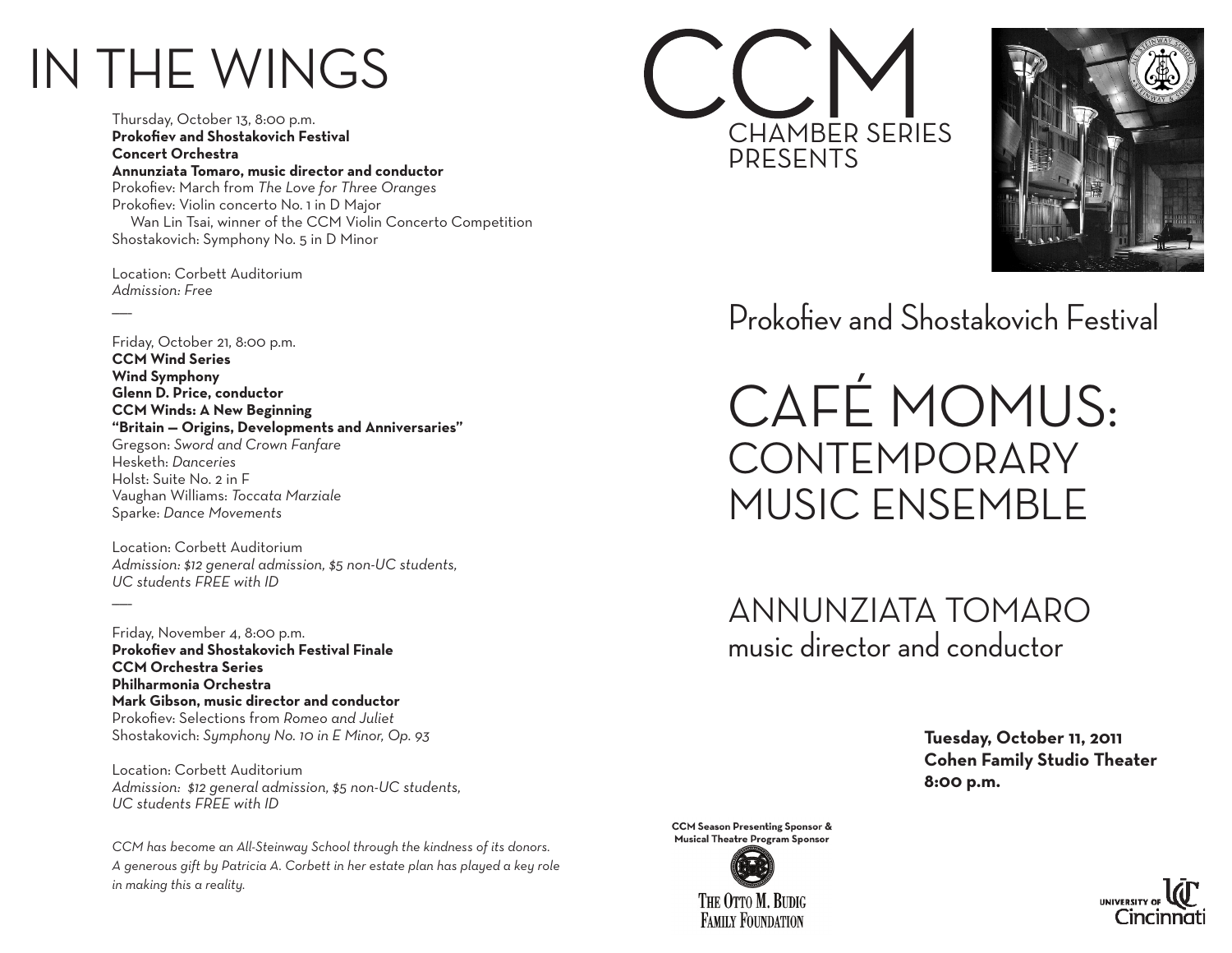## IN THE WINGS

Thursday, October 13, 8:00 p.m. **Prokofiev and Shostakovich Festival Concert Orchestra Annunziata Tomaro, music director and conductor** Prokofiev: March from *The Love for Three Oranges* Prokofiev: Violin concerto No. 1 in D Major Wan Lin Tsai, winner of the CCM Violin Concerto Competition Shostakovich: Symphony No. 5 in D Minor

Location: Corbett Auditorium *Admission: Free*

 $\overline{\phantom{a}}$ 

Friday, October 21, 8:00 p.m. **CCM Wind Series Wind Symphony Glenn D. Price, conductor CCM Winds: A New Beginning "Britain — Origins, Developments and Anniversaries"** Gregson: *Sword and Crown Fanfare* Hesketh: *Danceries* Holst: Suite No. 2 in F Vaughan Williams: *Toccata Marziale* Sparke: *Dance Movements*

Location: Corbett Auditorium *Admission: \$12 general admission, \$5 non-UC students, UC students FREE with ID*  $\overline{\phantom{a}}$ 

Friday, November 4, 8:00 p.m. **Prokofiev and Shostakovich Festival Finale CCM Orchestra Series Philharmonia Orchestra Mark Gibson, music director and conductor** Prokofiev: Selections from *Romeo and Juliet* Shostakovich: *Symphony No. 10 in E Minor, Op. 93*

Location: Corbett Auditorium *Admission: \$12 general admission, \$5 non-UC students, UC students FREE with ID*

*CCM has become an All-Steinway School through the kindness of its donors. A generous gift by Patricia A. Corbett in her estate plan has played a key role in making this a reality.*





Prokofiev and Shostakovich Festival

CAFÉ MOMUS: **CONTEMPORARY** MUSIC ENSEMBLE

ANNUNZIATA TOMARO music director and conductor

> **Tuesday, October 11, 2011 Cohen Family Studio Theater 8:00 p.m.**